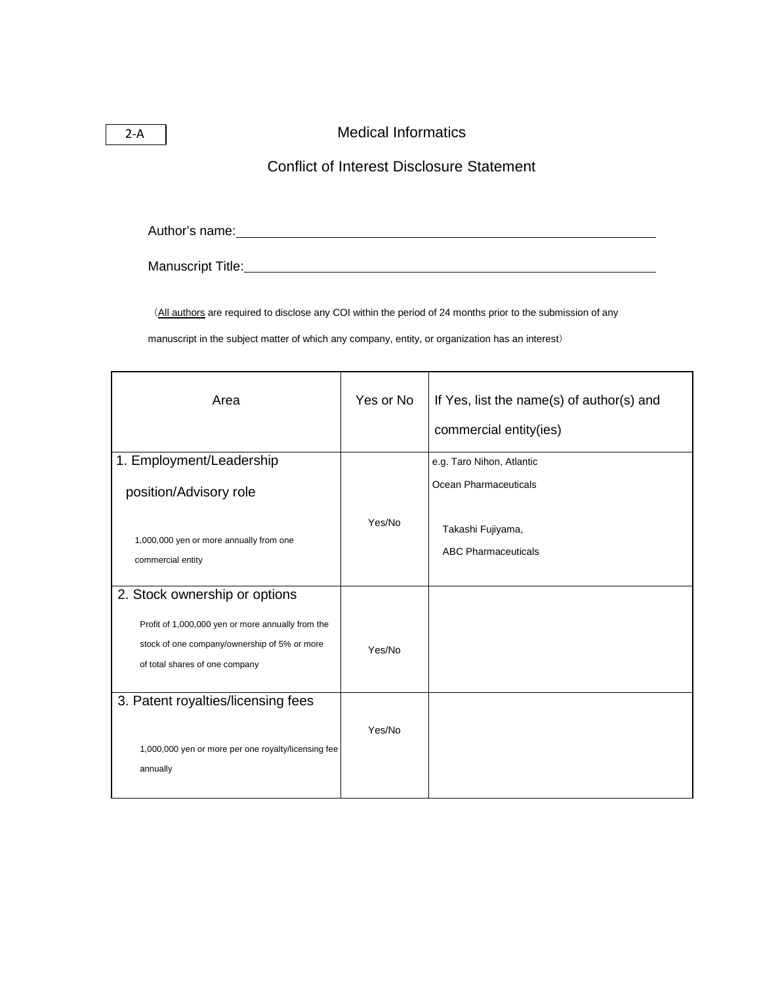## Medical Informatics

## Conflict of Interest Disclosure Statement

Author's name:

Manuscript Title: Manuscript Title: Manuscript Title: Manuscript Title: Manuscript Title: Manuscript Title: Manuscript Title: Manuscript Title: Manuscript Title: Manuscript Title: Manuscript Title: Manuscript Title: Manusc

(All authors are required to disclose any COI within the period of 24 months prior to the submission of any

manuscript in the subject matter of which any company, entity, or organization has an interest)

| Area                                                                                                                                | Yes or No | If Yes, list the name(s) of author(s) and<br>commercial entity(ies) |
|-------------------------------------------------------------------------------------------------------------------------------------|-----------|---------------------------------------------------------------------|
| 1. Employment/Leadership<br>position/Advisory role                                                                                  |           | e.g. Taro Nihon, Atlantic<br>Ocean Pharmaceuticals                  |
| 1,000,000 yen or more annually from one<br>commercial entity                                                                        | Yes/No    | Takashi Fujiyama,<br><b>ABC Pharmaceuticals</b>                     |
| 2. Stock ownership or options                                                                                                       |           |                                                                     |
| Profit of 1,000,000 yen or more annually from the<br>stock of one company/ownership of 5% or more<br>of total shares of one company | Yes/No    |                                                                     |
| 3. Patent royalties/licensing fees<br>1,000,000 yen or more per one royalty/licensing fee                                           | Yes/No    |                                                                     |
| annually                                                                                                                            |           |                                                                     |